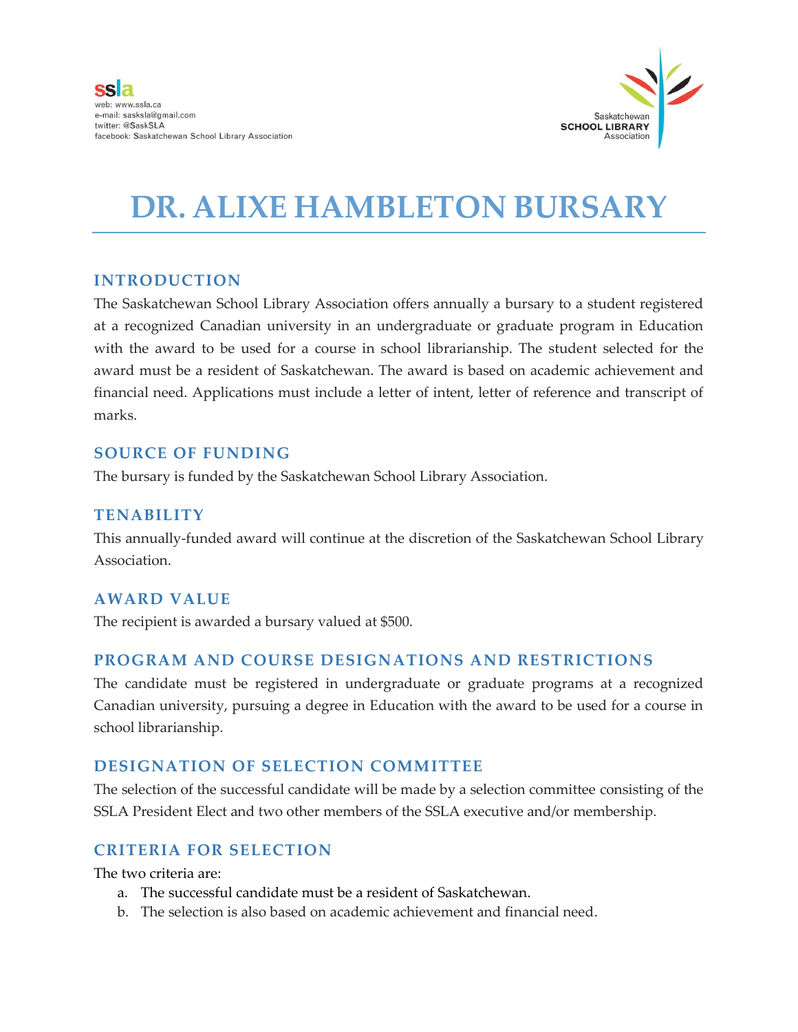

## **DR. ALIXE HAMBLETON BURSARY**

#### **INTRODUCTION**

The Saskatchewan School Library Association offers annually a bursary to a student registered at a recognized Canadian university in an undergraduate or graduate program in Education with the award to be used for a course in school librarianship. The student selected for the award must be a resident of Saskatchewan. The award is based on academic achievement and financial need. Applications must include a letter of intent, letter of reference and transcript of marks.

#### **SOURCE OF FUNDING**

The bursary is funded by the Saskatchewan School Library Association.

## **TENABILITY**

This annually-funded award will continue at the discretion of the Saskatchewan School Library Association.

## **AWARD VALUE**

The recipient is awarded a bursary valued at \$500.

## **PROGRAM AND COURSE DESIGNATIONS AND RESTRICTIONS**

The candidate must be registered in undergraduate or graduate programs at a recognized Canadian university, pursuing a degree in Education with the award to be used for a course in school librarianship.

## **DESIGNATION OF SELECTION COMMITTEE**

The selection of the successful candidate will be made by a selection committee consisting of the SSLA President Elect and two other members of the SSLA executive and/or membership.

## **CRITERIA FOR SELECTION**

The two criteria are:

- a. The successful candidate must be a resident of Saskatchewan.
- b. The selection is also based on academic achievement and financial need.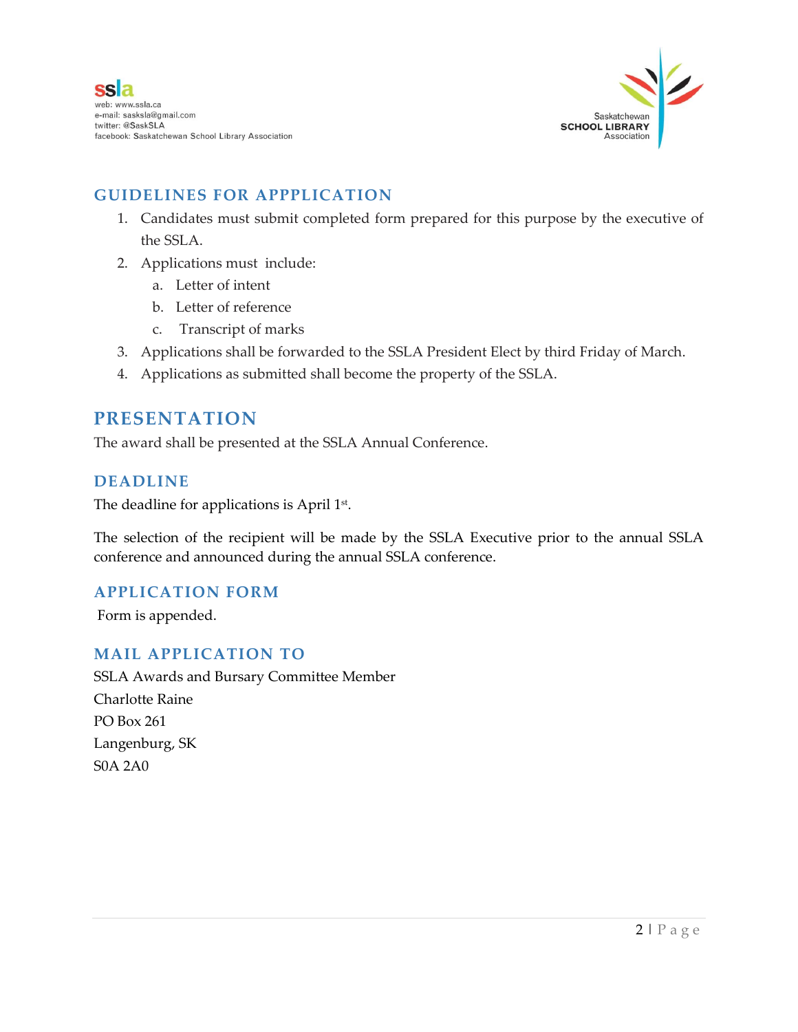

## **GUIDELINES FOR APPPLICATION**

- 1. Candidates must submit completed form prepared for this purpose by the executive of the SSLA.
- 2. Applications must include:
	- a. Letter of intent
	- b. Letter of reference
	- c. Transcript of marks
- 3. Applications shall be forwarded to the SSLA President Elect by third Friday of March.
- 4. Applications as submitted shall become the property of the SSLA.

## **PRESENTATION**

The award shall be presented at the SSLA Annual Conference.

#### **DEADLINE**

The deadline for applications is April  $1^{\text{st}}$ .

The selection of the recipient will be made by the SSLA Executive prior to the annual SSLA conference and announced during the annual SSLA conference.

## **APPLICATION FORM**

Form is appended.

## **MAIL APPLICATION TO**

SSLA Awards and Bursary Committee Member Charlotte Raine PO Box 261 Langenburg, SK S0A 2A0